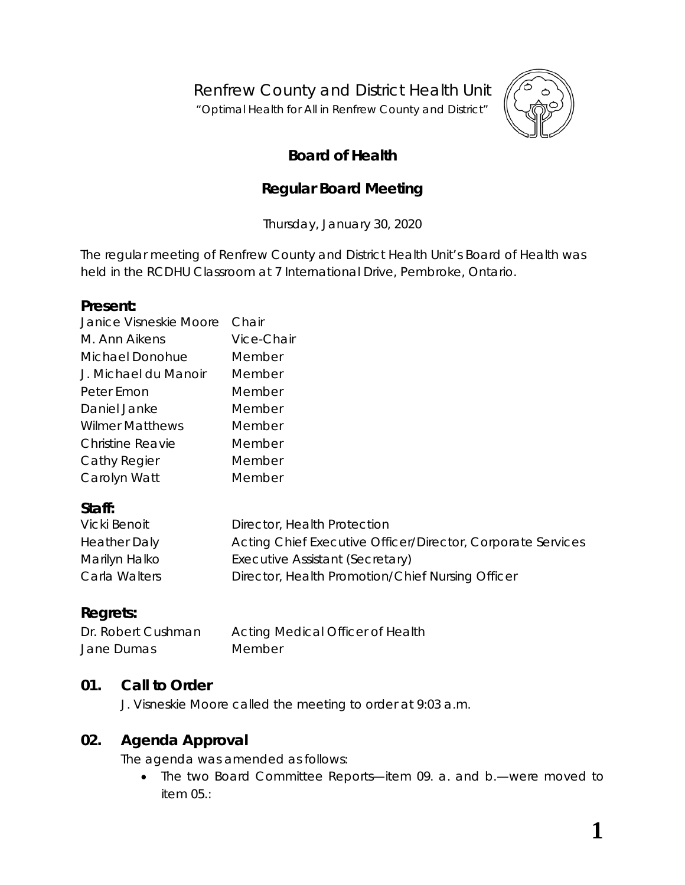Renfrew County and District Health Unit

"*Optimal Health for All in Renfrew County and District"*



# **Board of Health**

# **Regular Board Meeting**

Thursday, January 30, 2020

The regular meeting of Renfrew County and District Health Unit's Board of Health was held in the RCDHU Classroom at 7 International Drive, Pembroke, Ontario.

#### **Present:**

| Janice Visneskie Moore | Chair      |
|------------------------|------------|
| M. Ann Aikens          | Vice-Chair |
| Michael Donohue        | Member     |
| J. Michael du Manoir   | Member     |
| Peter Emon             | Member     |
| Daniel Janke           | Member     |
| <b>Wilmer Matthews</b> | Member     |
| Christine Reavie       | Member     |
| Cathy Regier           | Member     |
| Carolyn Watt           | Member     |
|                        |            |

## **Staff:**

| Vicki Benoit        | Director, Health Protection                                 |
|---------------------|-------------------------------------------------------------|
| <b>Heather Daly</b> | Acting Chief Executive Officer/Director, Corporate Services |
| Marilyn Halko       | Executive Assistant (Secretary)                             |
| Carla Walters       | Director, Health Promotion/Chief Nursing Officer            |

## **Regrets:**

Dr. Robert Cushman Acting Medical Officer of Health Jane Dumas Member

#### **01. Call to Order**

J. Visneskie Moore called the meeting to order at 9:03 a.m.

## **02. Agenda Approval**

The agenda was amended as follows:

• The two Board Committee Reports—item 09. a. and b.—were moved to item 05.: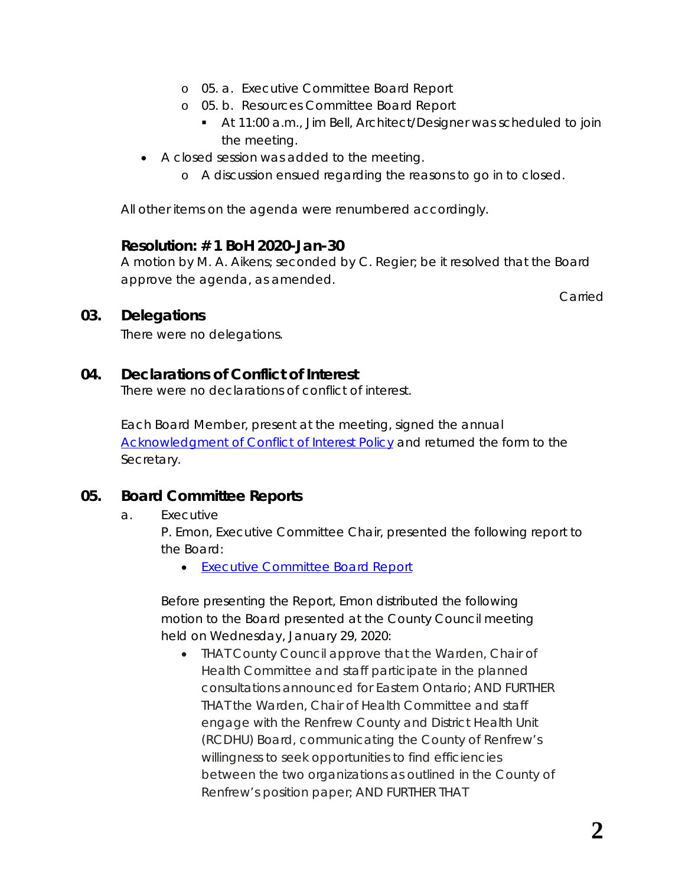- o 05. a. Executive Committee Board Report
- o 05. b. Resources Committee Board Report
	- At 11:00 a.m., Jim Bell, Architect/Designer was scheduled to join the meeting.
- A closed session was added to the meeting.
	- o A discussion ensued regarding the reasons to go in to closed.

All other items on the agenda were renumbered accordingly.

#### **Resolution: # 1 BoH 2020-Jan-30**

A motion by M. A. Aikens; seconded by C. Regier; be it resolved that the Board approve the agenda, as amended.

Carried

#### **03. Delegations**

There were no delegations.

#### **04. Declarations of Conflict of Interest**

There were no declarations of conflict of interest.

Each Board Member, present at the meeting, signed the annual *[Acknowledgment of Conflict of Interest Policy](https://www.rcdhu.com/wp-content/uploads/2020/02/04.-a.-Acknowledgement-of-Conflict-of-Interest-Policy.pdf)* and returned the form to the Secretary.

#### **05. Board Committee Reports**

#### a. Executive

P. Emon, Executive Committee Chair, presented the following report to the Board:

• *[Executive Committee Board Report](https://www.rcdhu.com/wp-content/uploads/2020/02/09.-a.-Executive-Committee-Board-Report-2020-Jan-27.pdf)*

Before presenting the *Report*, Emon distributed the following motion to the Board presented at the County Council meeting held on Wednesday, January 29, 2020:

• *THAT County Council approve that the Warden, Chair of Health Committee and staff participate in the planned consultations announced for Eastern Ontario; AND FURTHER THAT the Warden, Chair of Health Committee and staff engage with the Renfrew County and District Health Unit (RCDHU) Board, communicating the County of Renfrew's willingness to seek opportunities to find efficiencies between the two organizations as outlined in the County of Renfrew's position paper; AND FURTHER THAT*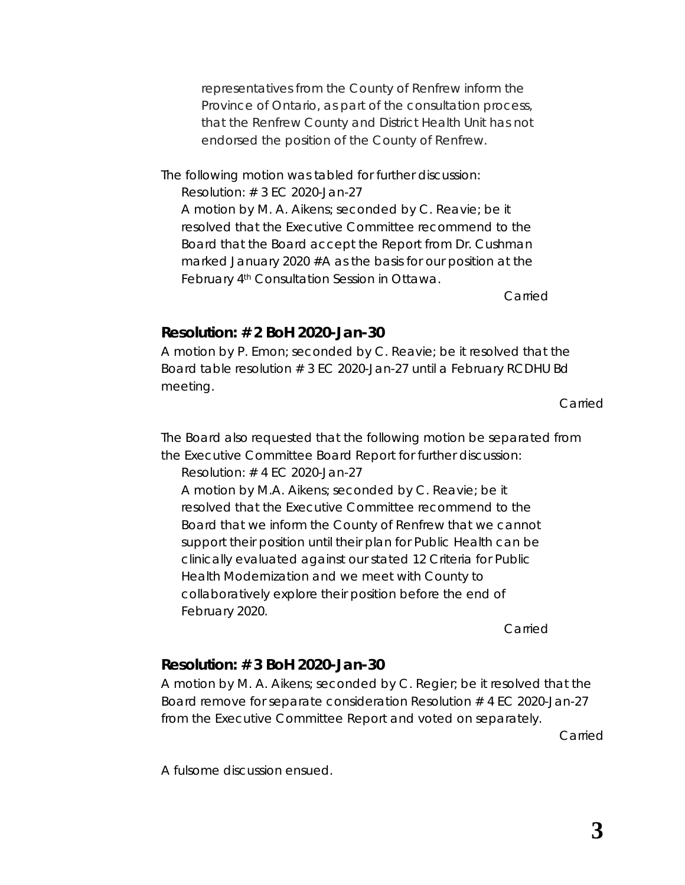*representatives from the County of Renfrew inform the Province of Ontario, as part of the consultation process, that the Renfrew County and District Health Unit has not endorsed the position of the County of Renfrew.*

The following motion was tabled for further discussion:

*Resolution: # 3 EC 2020-Jan-27*

*A motion by M. A. Aikens; seconded by C. Reavie; be it resolved that the Executive Committee recommend to the Board that the Board accept the Report from Dr. Cushman marked January 2020 #A as the basis for our position at the February 4th Consultation Session in Ottawa.*

*Carried*

#### **Resolution: # 2 BoH 2020-Jan-30**

A motion by P. Emon; seconded by C. Reavie; be it resolved that the Board table resolution # 3 EC 2020-Jan-27 until a February RCDHU Bd meeting.

Carried

The Board also requested that the following motion be separated from the *Executive Committee Board Report* for further discussion:

*Resolution: # 4 EC 2020-Jan-27*

*A motion by M.A. Aikens; seconded by C. Reavie; be it resolved that the Executive Committee recommend to the Board that we inform the County of Renfrew that we cannot support their position until their plan for Public Health can be clinically evaluated against our stated 12 Criteria for Public Health Modernization and we meet with County to collaboratively explore their position before the end of February 2020.*

*Carried*

# **Resolution: # 3 BoH 2020-Jan-30**

A motion by M. A. Aikens; seconded by C. Regier; be it resolved that the Board remove for separate consideration Resolution # 4 EC 2020-Jan-27 from the Executive Committee Report and voted on separately.

Carried

A fulsome discussion ensued.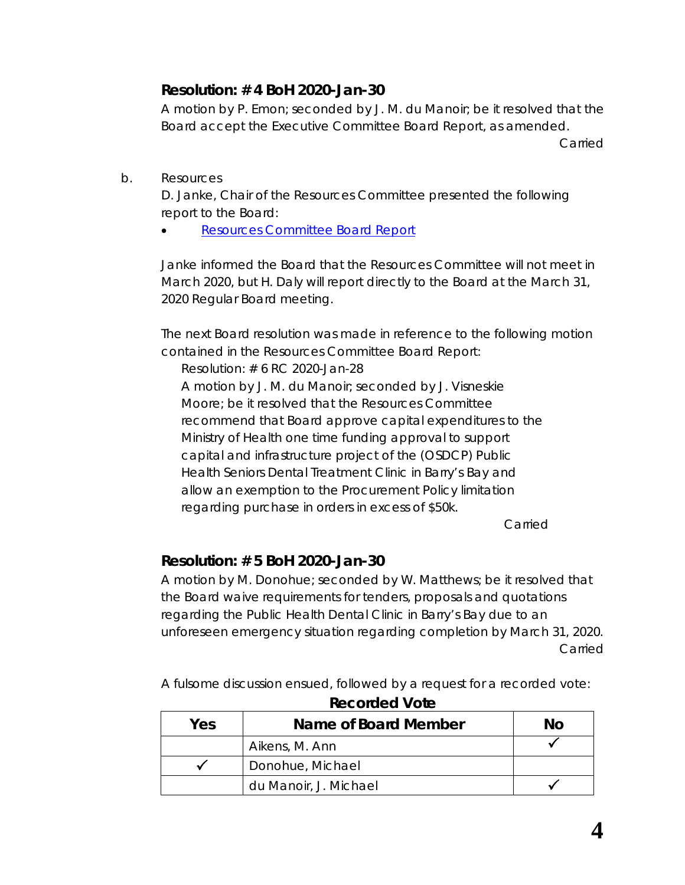## **Resolution: # 4 BoH 2020-Jan-30**

A motion by P. Emon; seconded by J. M. du Manoir; be it resolved that the Board accept the Executive Committee Board Report, as amended.

Carried

b. Resources

D. Janke, Chair of the Resources Committee presented the following report to the Board:

• *[Resources Committee Board Report](https://www.rcdhu.com/wp-content/uploads/2020/02/09.-b.-Resources-Committee-Board-Report-2020-Jan-28.pdf)*

Janke informed the Board that the Resources Committee will not meet in March 2020, but H. Daly will report directly to the Board at the March 31, 2020 Regular Board meeting.

The next Board resolution was made in reference to the following motion contained in the *Resources Committee Board Report*:

*Resolution: # 6 RC 2020-Jan-28*

*A motion by J. M. du Manoir; seconded by J. Visneskie Moore; be it resolved that the Resources Committee recommend that Board approve capital expenditures to the Ministry of Health one time funding approval to support capital and infrastructure project of the (OSDCP) Public Health Seniors Dental Treatment Clinic in Barry's Bay and allow an exemption to the Procurement Policy limitation regarding purchase in orders in excess of \$50k.*

*Carried*

# **Resolution: # 5 BoH 2020-Jan-30**

A motion by M. Donohue; seconded by W. Matthews; be it resolved that the Board waive requirements for tenders, proposals and quotations regarding the Public Health Dental Clinic in Barry's Bay due to an unforeseen emergency situation regarding completion by March 31, 2020. Carried

A fulsome discussion ensued, followed by a request for a recorded vote:

| Yes | Name of Board Member  | Νo |
|-----|-----------------------|----|
|     | Aikens, M. Ann        |    |
|     | Donohue, Michael      |    |
|     | du Manoir, J. Michael |    |

## **Recorded Vote**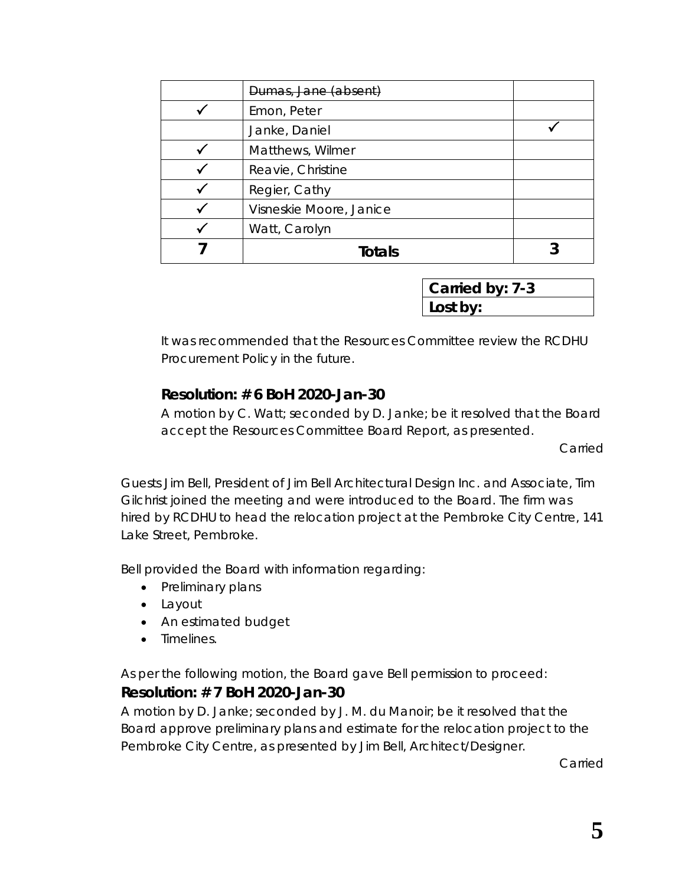| Dumas, Jane (absent)    |  |
|-------------------------|--|
| Emon, Peter             |  |
| Janke, Daniel           |  |
| Matthews, Wilmer        |  |
| Reavie, Christine       |  |
| Regier, Cathy           |  |
| Visneskie Moore, Janice |  |
| Watt, Carolyn           |  |
| <b>Totals</b>           |  |

**Carried by: 7-3 Lost by:**

It was recommended that the Resources Committee review the RCDHU Procurement Policy in the future.

## **Resolution: # 6 BoH 2020-Jan-30**

A motion by C. Watt; seconded by D. Janke; be it resolved that the Board accept the Resources Committee Board Report, as presented.

Carried

Guests Jim Bell, President of Jim Bell Architectural Design Inc. and Associate, Tim Gilchrist joined the meeting and were introduced to the Board. The firm was hired by RCDHU to head the relocation project at the Pembroke City Centre, 141 Lake Street, Pembroke.

Bell provided the Board with information regarding:

- Preliminary plans
- Layout
- An estimated budget
- Timelines.

As per the following motion, the Board gave Bell permission to proceed:

## **Resolution: # 7 BoH 2020-Jan-30**

A motion by D. Janke; seconded by J. M. du Manoir; be it resolved that the Board approve preliminary plans and estimate for the relocation project to the Pembroke City Centre, as presented by Jim Bell, Architect/Designer.

Carried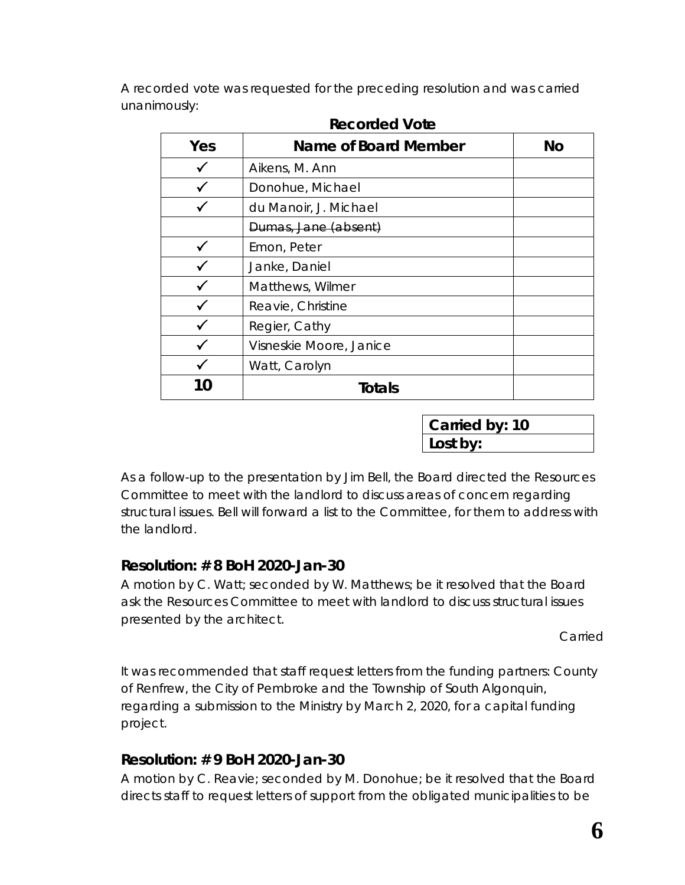A recorded vote was requested for the preceding resolution and was carried unanimously:

| Yes | Name of Board Member    | No |
|-----|-------------------------|----|
|     | Aikens, M. Ann          |    |
|     | Donohue, Michael        |    |
|     | du Manoir, J. Michael   |    |
|     | Dumas, Jane (absent)    |    |
|     | Emon, Peter             |    |
|     | Janke, Daniel           |    |
|     | Matthews, Wilmer        |    |
|     | Reavie, Christine       |    |
|     | Regier, Cathy           |    |
|     | Visneskie Moore, Janice |    |
|     | Watt, Carolyn           |    |
| 10  | <b>Totals</b>           |    |

#### **Recorded Vote**

**Carried by: 10 Lost by:**

As a follow-up to the presentation by Jim Bell, the Board directed the Resources Committee to meet with the landlord to discuss areas of concern regarding structural issues. Bell will forward a list to the Committee, for them to address with the landlord.

## **Resolution: # 8 BoH 2020-Jan-30**

A motion by C. Watt; seconded by W. Matthews; be it resolved that the Board ask the Resources Committee to meet with landlord to discuss structural issues presented by the architect.

Carried

It was recommended that staff request letters from the funding partners: County of Renfrew, the City of Pembroke and the Township of South Algonquin, regarding a submission to the Ministry by March 2, 2020, for a capital funding project.

## **Resolution: # 9 BoH 2020-Jan-30**

A motion by C. Reavie; seconded by M. Donohue; be it resolved that the Board directs staff to request letters of support from the obligated municipalities to be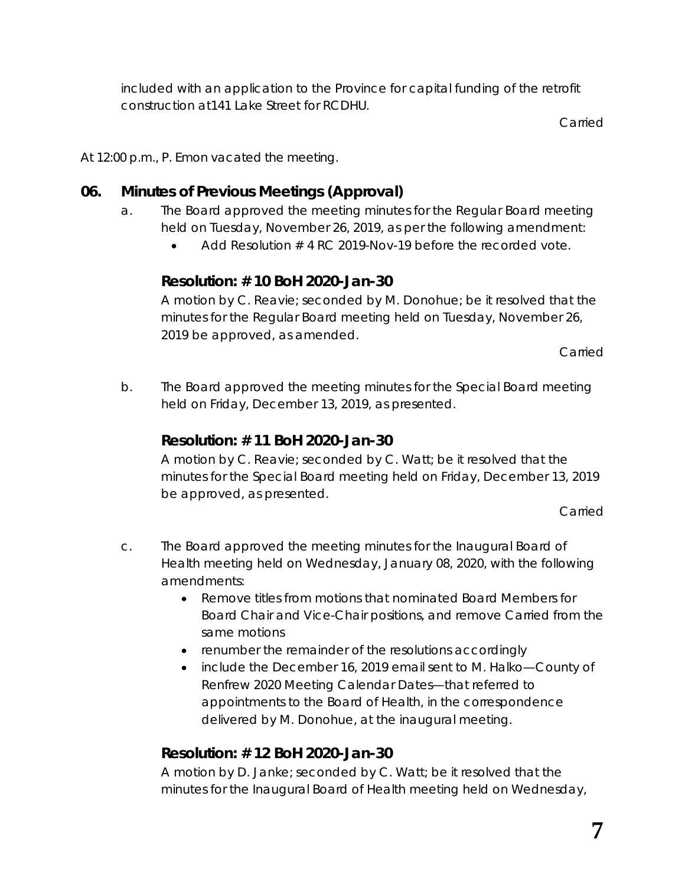included with an application to the Province for capital funding of the retrofit construction at141 Lake Street for RCDHU.

Carried

At 12:00 p.m., P. Emon vacated the meeting.

## **06. Minutes of Previous Meetings (Approval)**

- a. The Board approved the meeting minutes for the Regular Board meeting held on Tuesday, November 26, 2019, as per the following amendment:
	- Add *Resolution # 4 RC 2019-Nov-19* before the recorded vote.

## **Resolution: # 10 BoH 2020-Jan-30**

A motion by C. Reavie; seconded by M. Donohue; be it resolved that the minutes for the Regular Board meeting held on Tuesday, November 26, 2019 be approved, as amended.

Carried

b. The Board approved the meeting minutes for the Special Board meeting held on Friday, December 13, 2019, as presented.

## **Resolution: # 11 BoH 2020-Jan-30**

A motion by C. Reavie; seconded by C. Watt; be it resolved that the minutes for the Special Board meeting held on Friday, December 13, 2019 be approved, as presented.

Carried

- c. The Board approved the meeting minutes for the Inaugural Board of Health meeting held on Wednesday, January 08, 2020, with the following amendments:
	- Remove titles from motions that nominated Board Members for Board Chair and Vice-Chair positions, and remove *Carried* from the same motions
	- renumber the remainder of the resolutions accordingly
	- include the December 16, 2019 email sent to M. Halko—*County of Renfrew 2020 Meeting Calendar Dates*—that referred to appointments to the Board of Health, in the correspondence delivered by M. Donohue, at the inaugural meeting.

# **Resolution: # 12 BoH 2020-Jan-30**

A motion by D. Janke; seconded by C. Watt; be it resolved that the minutes for the Inaugural Board of Health meeting held on Wednesday,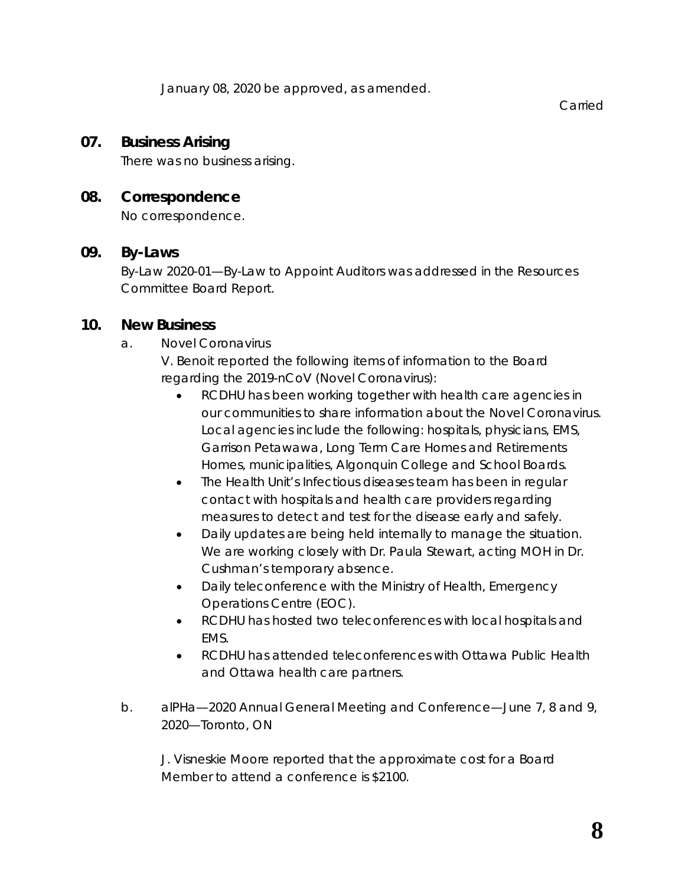January 08, 2020 be approved, as amended.

Carried

#### **07. Business Arising**

There was no business arising.

#### **08. Correspondence**

No correspondence.

#### **09. By-Laws**

*By-Law 2020-01—By-Law to Appoint Auditors* was addressed in the Resources Committee Board Report.

#### **10. New Business**

a. Novel Coronavirus

V. Benoit reported the following items of information to the Board regarding the 2019-nCoV (Novel Coronavirus):

- RCDHU has been working together with health care agencies in our communities to share information about the Novel Coronavirus. Local agencies include the following: hospitals, physicians, EMS, Garrison Petawawa, Long Term Care Homes and Retirements Homes, municipalities, Algonquin College and School Boards.
- The Health Unit's Infectious diseases team has been in regular contact with hospitals and health care providers regarding measures to detect and test for the disease early and safely.
- Daily updates are being held internally to manage the situation. We are working closely with Dr. Paula Stewart, acting MOH in Dr. Cushman's temporary absence.
- Daily teleconference with the Ministry of Health, Emergency Operations Centre (EOC).
- RCDHU has hosted two teleconferences with local hospitals and EMS.
- RCDHU has attended teleconferences with Ottawa Public Health and Ottawa health care partners.
- b. alPHa—2020 Annual General Meeting and Conference—June 7, 8 and 9, 2020—Toronto, ON

J. Visneskie Moore reported that the approximate cost for a Board Member to attend a conference is \$2100.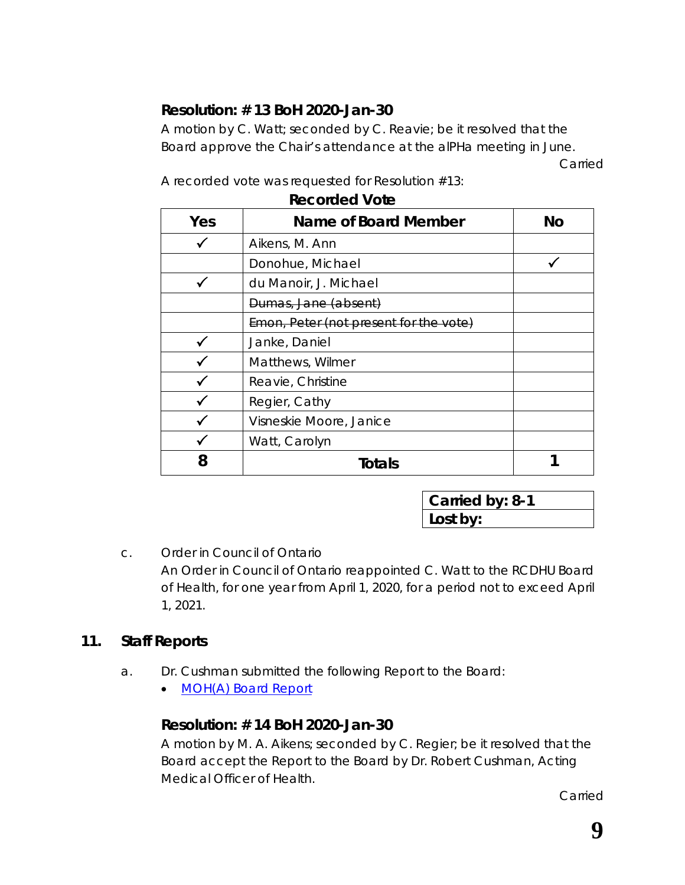# **Resolution: # 13 BoH 2020-Jan-30**

A motion by C. Watt; seconded by C. Reavie; be it resolved that the Board approve the Chair's attendance at the alPHa meeting in June.

Carried

| <b>Recorded Vote</b> |                                        |           |
|----------------------|----------------------------------------|-----------|
| Yes                  | Name of Board Member                   | <b>No</b> |
|                      | Aikens, M. Ann                         |           |
|                      | Donohue, Michael                       |           |
|                      | du Manoir, J. Michael                  |           |
|                      | Dumas, Jane (absent)                   |           |
|                      | Emon, Peter (not present for the vote) |           |
|                      | Janke, Daniel                          |           |
|                      | Matthews, Wilmer                       |           |
|                      | Reavie, Christine                      |           |
|                      | Regier, Cathy                          |           |
|                      | Visneskie Moore, Janice                |           |
|                      | Watt, Carolyn                          |           |
|                      | Totals                                 |           |

A recorded vote was requested for Resolution #13:

**Carried by: 8-1 Lost by:**

## c. Order in Council of Ontario An Order in Council of Ontario reappointed C. Watt to the RCDHU Board of Health, for one year from April 1, 2020, for a period not to exceed April 1, 2021.

# **11. Staff Reports**

- a. Dr. Cushman submitted the following Report to the Board:
	- *[MOH\(A\) Board Report](https://www.rcdhu.com/wp-content/uploads/2020/02/08.-a.-MOHA-Report-January-2020.pdf)*

# **Resolution: # 14 BoH 2020-Jan-30**

A motion by M. A. Aikens; seconded by C. Regier; be it resolved that the Board accept the Report to the Board by Dr. Robert Cushman, Acting Medical Officer of Health.

Carried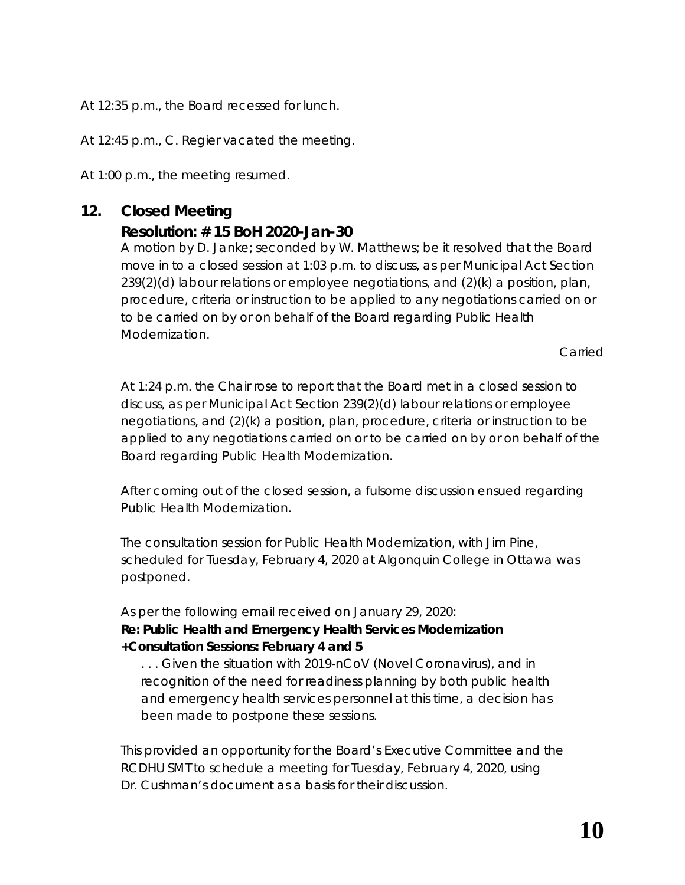At 12:35 p.m., the Board recessed for lunch.

At 12:45 p.m., C. Regier vacated the meeting.

At 1:00 p.m., the meeting resumed.

## **12. Closed Meeting**

#### **Resolution: # 15 BoH 2020-Jan-30**

A motion by D. Janke; seconded by W. Matthews; be it resolved that the Board move in to a closed session at 1:03 p.m. to discuss, as per Municipal Act Section  $239(2)(d)$  labour relations or employee negotiations, and  $(2)(k)$  a position, plan, procedure, criteria or instruction to be applied to any negotiations carried on or to be carried on by or on behalf of the Board regarding Public Health Modernization.

Carried

At 1:24 p.m. the Chair rose to report that the Board met in a closed session to discuss, as per Municipal Act Section 239(2)(d) labour relations or employee negotiations, and (2)(k) a position, plan, procedure, criteria or instruction to be applied to any negotiations carried on or to be carried on by or on behalf of the Board regarding Public Health Modernization.

After coming out of the closed session, a fulsome discussion ensued regarding Public Health Modernization.

The consultation session for Public Health Modernization, with Jim Pine, scheduled for Tuesday, February 4, 2020 at Algonquin College in Ottawa was postponed.

As per the following email received on January 29, 2020: *Re: Public Health and Emergency Health Services Modernization +Consultation Sessions: February 4 and 5*

*. . . Given the situation with 2019-nCoV (Novel Coronavirus), and in recognition of the need for readiness planning by both public health and emergency health services personnel at this time, a decision has been made to postpone these sessions.*

This provided an opportunity for the Board's Executive Committee and the RCDHU SMT to schedule a meeting for Tuesday, February 4, 2020, using Dr. Cushman's document as a basis for their discussion.